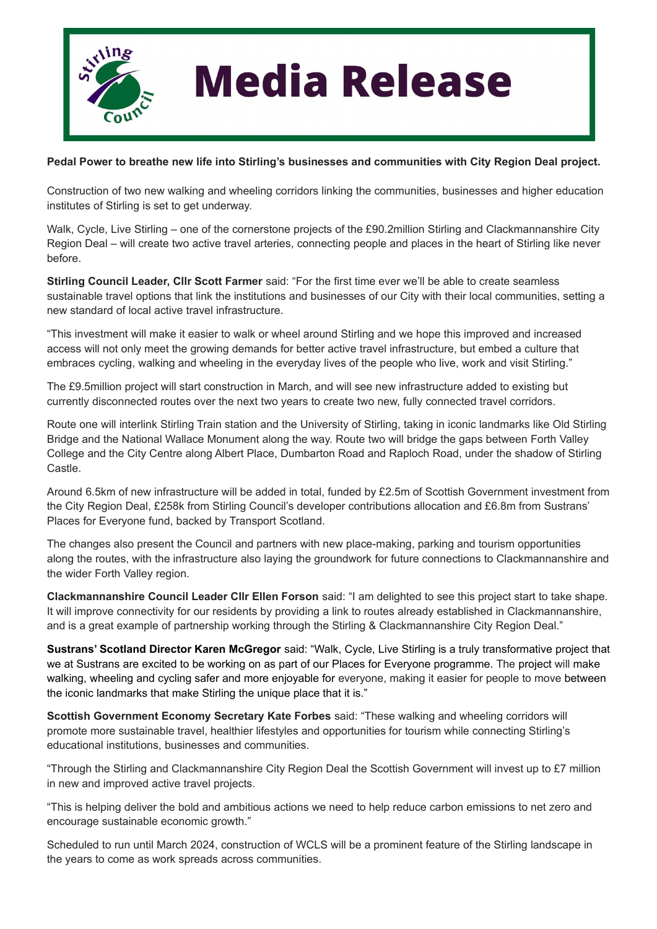

## **Media Release**

## **Pedal Power to breathe new life into Stirling's businesses and communities with City Region Deal project.**

Construction of two new walking and wheeling corridors linking the communities, businesses and higher education institutes of Stirling is set to get underway.

Walk, Cycle, Live Stirling – one of the cornerstone projects of the £90.2million Stirling and Clackmannanshire City Region Deal – will create two active travel arteries, connecting people and places in the heart of Stirling like never before.

**Stirling Council Leader, Cllr Scott Farmer** said: "For the first time ever we'll be able to create seamless sustainable travel options that link the institutions and businesses of our City with their local communities, setting a new standard of local active travel infrastructure.

"This investment will make it easier to walk or wheel around Stirling and we hope this improved and increased access will not only meet the growing demands for better active travel infrastructure, but embed a culture that embraces cycling, walking and wheeling in the everyday lives of the people who live, work and visit Stirling."

The £9.5million project will start construction in March, and will see new infrastructure added to existing but currently disconnected routes over the next two years to create two new, fully connected travel corridors.

Route one will interlink Stirling Train station and the University of Stirling, taking in iconic landmarks like Old Stirling Bridge and the National Wallace Monument along the way. Route two will bridge the gaps between Forth Valley College and the City Centre along Albert Place, Dumbarton Road and Raploch Road, under the shadow of Stirling Castle.

Around 6.5km of new infrastructure will be added in total, funded by £2.5m of Scottish Government investment from the City Region Deal, £258k from Stirling Council's developer contributions allocation and £6.8m from Sustrans' Places for Everyone fund, backed by Transport Scotland.

The changes also present the Council and partners with new place-making, parking and tourism opportunities along the routes, with the infrastructure also laying the groundwork for future connections to Clackmannanshire and the wider Forth Valley region.

**Clackmannanshire Council Leader Cllr Ellen Forson** said: "I am delighted to see this project start to take shape. It will improve connectivity for our residents by providing a link to routes already established in Clackmannanshire, and is a great example of partnership working through the Stirling & Clackmannanshire City Region Deal."

**Sustrans' Scotland Director Karen McGregor** said: "Walk, Cycle, Live Stirling is a truly transformative project that we at Sustrans are excited to be working on as part of our Places for Everyone programme. The project will make walking, wheeling and cycling safer and more enjoyable for everyone, making it easier for people to move between the iconic landmarks that make Stirling the unique place that it is."

**Scottish Government Economy Secretary Kate Forbes** said: "These walking and wheeling corridors will promote more sustainable travel, healthier lifestyles and opportunities for tourism while connecting Stirling's educational institutions, businesses and communities.

"Through the Stirling and Clackmannanshire City Region Deal the Scottish Government will invest up to £7 million in new and improved active travel projects.

"This is helping deliver the bold and ambitious actions we need to help reduce carbon emissions to net zero and encourage sustainable economic growth."

Scheduled to run until March 2024, construction of WCLS will be a prominent feature of the Stirling landscape in the years to come as work spreads across communities.